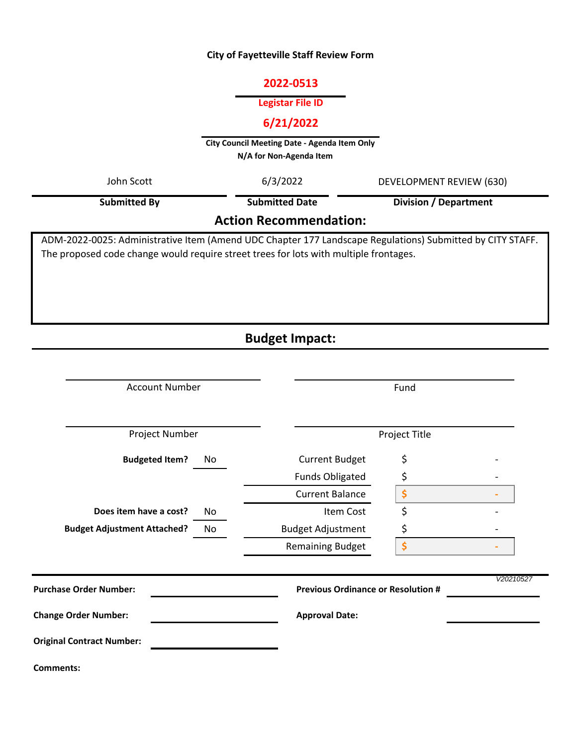### **City of Fayetteville Staff Review Form**

### **2022-0513**

#### **Legistar File ID**

## **6/21/2022**

**City Council Meeting Date - Agenda Item Only N/A for Non-Agenda Item** 

| John Scott                                                                                                | 6/3/2022              | DEVELOPMENT REVIEW (630) |  |  |  |  |
|-----------------------------------------------------------------------------------------------------------|-----------------------|--------------------------|--|--|--|--|
| <b>Submitted By</b>                                                                                       | <b>Submitted Date</b> | Division / Department    |  |  |  |  |
| <b>Action Recommendation:</b>                                                                             |                       |                          |  |  |  |  |
| DM-2022-0025: Administrative Item (Amend LIDC Chanter 177 Landscane Requistions) Submitted by CITY STAFF. |                       |                          |  |  |  |  |

ADM-2022-0025: Administrative Item (Amend UDC Chapter 177 Landscape Regulations) Submitted by CITY STAFF. The proposed code change would require street trees for lots with multiple frontages.

# **Budget Impact:**

| <b>Account Number</b>              |     | Fund                                      |    |           |  |
|------------------------------------|-----|-------------------------------------------|----|-----------|--|
| Project Number                     |     | Project Title                             |    |           |  |
| <b>Budgeted Item?</b>              | No  | <b>Current Budget</b>                     | \$ |           |  |
|                                    |     | <b>Funds Obligated</b>                    | \$ |           |  |
|                                    |     | <b>Current Balance</b>                    | \$ |           |  |
| Does item have a cost?             | No. | Item Cost                                 | \$ |           |  |
| <b>Budget Adjustment Attached?</b> | No  | <b>Budget Adjustment</b>                  | \$ |           |  |
|                                    |     | <b>Remaining Budget</b>                   | \$ |           |  |
| <b>Purchase Order Number:</b>      |     | <b>Previous Ordinance or Resolution #</b> |    | V20210527 |  |
| <b>Change Order Number:</b>        |     | <b>Approval Date:</b>                     |    |           |  |
| <b>Original Contract Number:</b>   |     |                                           |    |           |  |
| <b>Comments:</b>                   |     |                                           |    |           |  |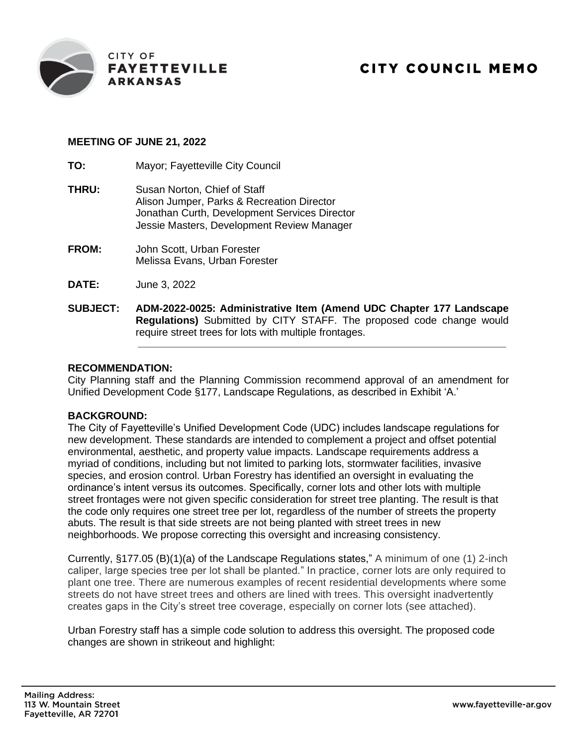

### **MEETING OF JUNE 21, 2022**

**TO:** Mayor; Fayetteville City Council

- **THRU:** Susan Norton, Chief of Staff Alison Jumper, Parks & Recreation Director Jonathan Curth, Development Services Director Jessie Masters, Development Review Manager
- **FROM:** John Scott, Urban Forester Melissa Evans, Urban Forester
- **DATE:** June 3, 2022
- **SUBJECT: ADM-2022-0025: Administrative Item (Amend UDC Chapter 177 Landscape Regulations)** Submitted by CITY STAFF. The proposed code change would require street trees for lots with multiple frontages.

### **RECOMMENDATION:**

City Planning staff and the Planning Commission recommend approval of an amendment for Unified Development Code §177, Landscape Regulations, as described in Exhibit 'A.'

### **BACKGROUND:**

The City of Fayetteville's Unified Development Code (UDC) includes landscape regulations for new development. These standards are intended to complement a project and offset potential environmental, aesthetic, and property value impacts. Landscape requirements address a myriad of conditions, including but not limited to parking lots, stormwater facilities, invasive species, and erosion control. Urban Forestry has identified an oversight in evaluating the ordinance's intent versus its outcomes. Specifically, corner lots and other lots with multiple street frontages were not given specific consideration for street tree planting. The result is that the code only requires one street tree per lot, regardless of the number of streets the property abuts. The result is that side streets are not being planted with street trees in new neighborhoods. We propose correcting this oversight and increasing consistency.

Currently, §177.05 (B)(1)(a) of the Landscape Regulations states," A minimum of one (1) 2-inch caliper, large species tree per lot shall be planted." In practice, corner lots are only required to plant one tree. There are numerous examples of recent residential developments where some streets do not have street trees and others are lined with trees. This oversight inadvertently creates gaps in the City's street tree coverage, especially on corner lots (see attached).

Urban Forestry staff has a simple code solution to address this oversight. The proposed code changes are shown in strikeout and highlight: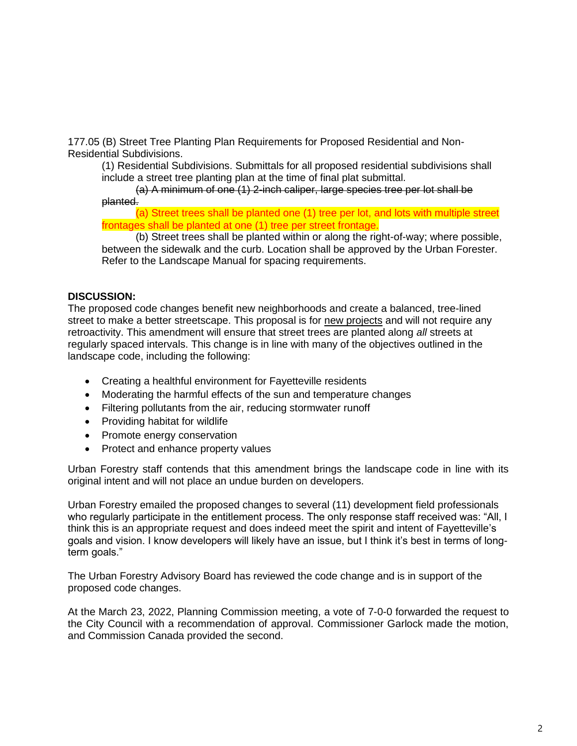177.05 (B) Street Tree Planting Plan Requirements for Proposed Residential and Non-Residential Subdivisions.

(1) Residential Subdivisions. Submittals for all proposed residential subdivisions shall include a street tree planting plan at the time of final plat submittal.

(a) A minimum of one (1) 2-inch caliper, large species tree per lot shall be planted.

(a) Street trees shall be planted one (1) tree per lot, and lots with multiple street frontages shall be planted at one (1) tree per street frontage.

(b) Street trees shall be planted within or along the right-of-way; where possible, between the sidewalk and the curb. Location shall be approved by the Urban Forester. Refer to the Landscape Manual for spacing requirements.

### **DISCUSSION:**

The proposed code changes benefit new neighborhoods and create a balanced, tree-lined street to make a better streetscape. This proposal is for new projects and will not require any retroactivity. This amendment will ensure that street trees are planted along *all* streets at regularly spaced intervals. This change is in line with many of the objectives outlined in the landscape code, including the following:

- Creating a healthful environment for Fayetteville residents
- Moderating the harmful effects of the sun and temperature changes
- Filtering pollutants from the air, reducing stormwater runoff
- Providing habitat for wildlife
- Promote energy conservation
- Protect and enhance property values

Urban Forestry staff contends that this amendment brings the landscape code in line with its original intent and will not place an undue burden on developers.

Urban Forestry emailed the proposed changes to several (11) development field professionals who regularly participate in the entitlement process. The only response staff received was: "All, I think this is an appropriate request and does indeed meet the spirit and intent of Fayetteville's goals and vision. I know developers will likely have an issue, but I think it's best in terms of longterm goals."

The Urban Forestry Advisory Board has reviewed the code change and is in support of the proposed code changes.

At the March 23, 2022, Planning Commission meeting, a vote of 7-0-0 forwarded the request to the City Council with a recommendation of approval. Commissioner Garlock made the motion, and Commission Canada provided the second.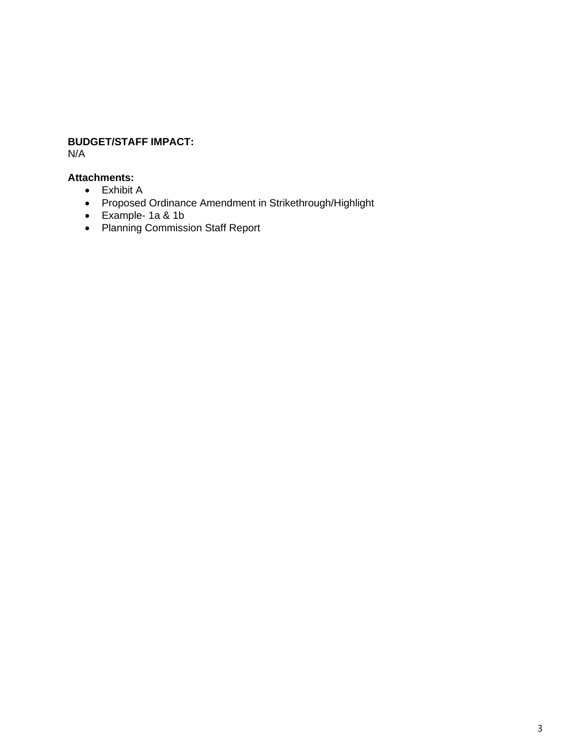## **BUDGET/STAFF IMPACT:**

N/A

## **Attachments:**

- Exhibit A
- Proposed Ordinance Amendment in Strikethrough/Highlight
- Example- 1a & 1b
- Planning Commission Staff Report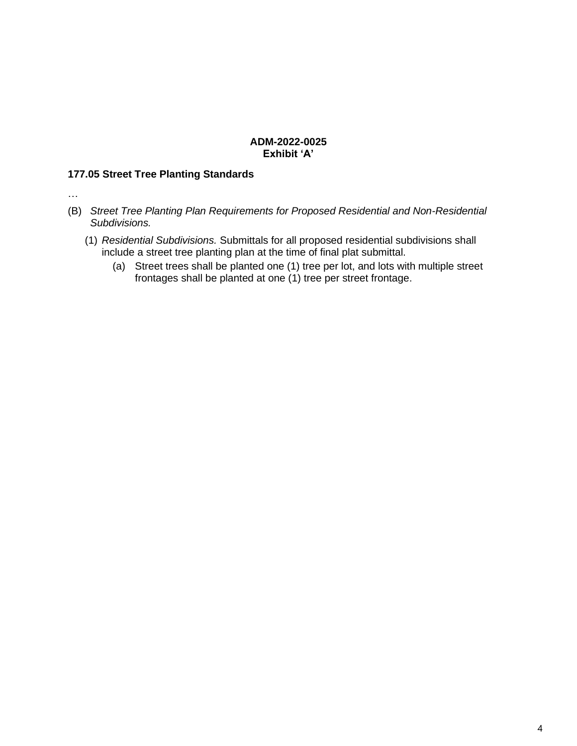### **ADM-2022-0025 Exhibit 'A'**

## **177.05 Street Tree Planting Standards**

…

- (B) *Street Tree Planting Plan Requirements for Proposed Residential and Non-Residential Subdivisions.*
	- (1) *Residential Subdivisions.* Submittals for all proposed residential subdivisions shall include a street tree planting plan at the time of final plat submittal.
		- (a) Street trees shall be planted one (1) tree per lot, and lots with multiple street frontages shall be planted at one (1) tree per street frontage.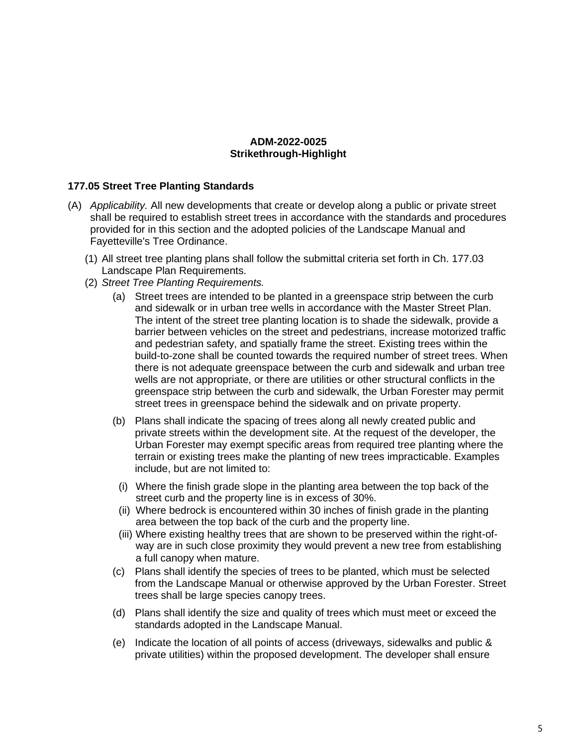### **ADM-2022-0025 Strikethrough-Highlight**

#### **177.05 Street Tree Planting Standards**

- (A) *Applicability.* All new developments that create or develop along a public or private street shall be required to establish street trees in accordance with the standards and procedures provided for in this section and the adopted policies of the Landscape Manual and Fayetteville's Tree Ordinance.
	- (1) All street tree planting plans shall follow the submittal criteria set forth in Ch. 177.03 Landscape Plan Requirements.
	- (2) *Street Tree Planting Requirements.*
		- (a) Street trees are intended to be planted in a greenspace strip between the curb and sidewalk or in urban tree wells in accordance with the Master Street Plan. The intent of the street tree planting location is to shade the sidewalk, provide a barrier between vehicles on the street and pedestrians, increase motorized traffic and pedestrian safety, and spatially frame the street. Existing trees within the build-to-zone shall be counted towards the required number of street trees. When there is not adequate greenspace between the curb and sidewalk and urban tree wells are not appropriate, or there are utilities or other structural conflicts in the greenspace strip between the curb and sidewalk, the Urban Forester may permit street trees in greenspace behind the sidewalk and on private property.
		- (b) Plans shall indicate the spacing of trees along all newly created public and private streets within the development site. At the request of the developer, the Urban Forester may exempt specific areas from required tree planting where the terrain or existing trees make the planting of new trees impracticable. Examples include, but are not limited to:
			- (i) Where the finish grade slope in the planting area between the top back of the street curb and the property line is in excess of 30%.
			- (ii) Where bedrock is encountered within 30 inches of finish grade in the planting area between the top back of the curb and the property line.
			- (iii) Where existing healthy trees that are shown to be preserved within the right-ofway are in such close proximity they would prevent a new tree from establishing a full canopy when mature.
		- (c) Plans shall identify the species of trees to be planted, which must be selected from the Landscape Manual or otherwise approved by the Urban Forester. Street trees shall be large species canopy trees.
		- (d) Plans shall identify the size and quality of trees which must meet or exceed the standards adopted in the Landscape Manual.
		- (e) Indicate the location of all points of access (driveways, sidewalks and public & private utilities) within the proposed development. The developer shall ensure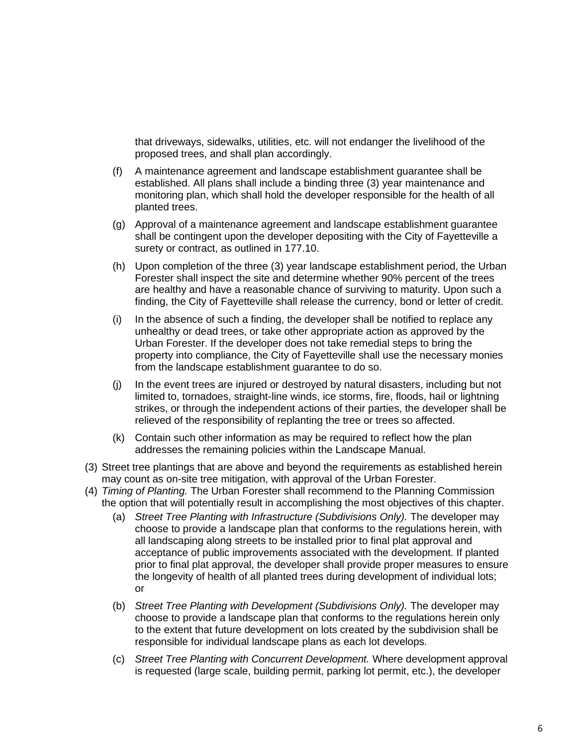that driveways, sidewalks, utilities, etc. will not endanger the livelihood of the proposed trees, and shall plan accordingly.

- (f) A maintenance agreement and landscape establishment guarantee shall be established. All plans shall include a binding three (3) year maintenance and monitoring plan, which shall hold the developer responsible for the health of all planted trees.
- (g) Approval of a maintenance agreement and landscape establishment guarantee shall be contingent upon the developer depositing with the City of Fayetteville a surety or contract, as outlined in 177.10.
- (h) Upon completion of the three (3) year landscape establishment period, the Urban Forester shall inspect the site and determine whether 90% percent of the trees are healthy and have a reasonable chance of surviving to maturity. Upon such a finding, the City of Fayetteville shall release the currency, bond or letter of credit.
- (i) In the absence of such a finding, the developer shall be notified to replace any unhealthy or dead trees, or take other appropriate action as approved by the Urban Forester. If the developer does not take remedial steps to bring the property into compliance, the City of Fayetteville shall use the necessary monies from the landscape establishment guarantee to do so.
- (j) In the event trees are injured or destroyed by natural disasters, including but not limited to, tornadoes, straight-line winds, ice storms, fire, floods, hail or lightning strikes, or through the independent actions of their parties, the developer shall be relieved of the responsibility of replanting the tree or trees so affected.
- (k) Contain such other information as may be required to reflect how the plan addresses the remaining policies within the Landscape Manual.
- (3) Street tree plantings that are above and beyond the requirements as established herein may count as on-site tree mitigation, with approval of the Urban Forester.
- (4) *Timing of Planting.* The Urban Forester shall recommend to the Planning Commission the option that will potentially result in accomplishing the most objectives of this chapter.
	- (a) *Street Tree Planting with Infrastructure (Subdivisions Only).* The developer may choose to provide a landscape plan that conforms to the regulations herein, with all landscaping along streets to be installed prior to final plat approval and acceptance of public improvements associated with the development. If planted prior to final plat approval, the developer shall provide proper measures to ensure the longevity of health of all planted trees during development of individual lots; or
	- (b) *Street Tree Planting with Development (Subdivisions Only).* The developer may choose to provide a landscape plan that conforms to the regulations herein only to the extent that future development on lots created by the subdivision shall be responsible for individual landscape plans as each lot develops.
	- (c) *Street Tree Planting with Concurrent Development.* Where development approval is requested (large scale, building permit, parking lot permit, etc.), the developer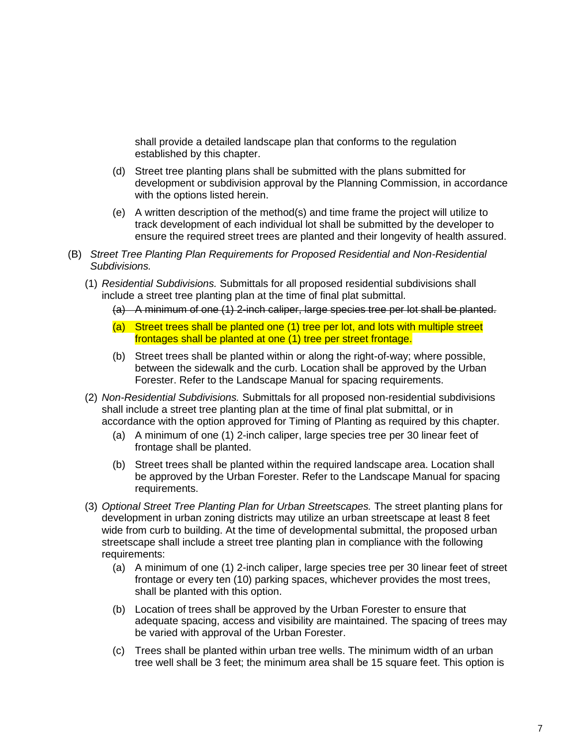shall provide a detailed landscape plan that conforms to the regulation established by this chapter.

- (d) Street tree planting plans shall be submitted with the plans submitted for development or subdivision approval by the Planning Commission, in accordance with the options listed herein.
- (e) A written description of the method(s) and time frame the project will utilize to track development of each individual lot shall be submitted by the developer to ensure the required street trees are planted and their longevity of health assured.
- (B) *Street Tree Planting Plan Requirements for Proposed Residential and Non-Residential Subdivisions.*
	- (1) *Residential Subdivisions.* Submittals for all proposed residential subdivisions shall include a street tree planting plan at the time of final plat submittal.
		- (a) A minimum of one (1) 2-inch caliper, large species tree per lot shall be planted.
		- (a) Street trees shall be planted one (1) tree per lot, and lots with multiple street frontages shall be planted at one (1) tree per street frontage.
		- (b) Street trees shall be planted within or along the right-of-way; where possible, between the sidewalk and the curb. Location shall be approved by the Urban Forester. Refer to the Landscape Manual for spacing requirements.
	- (2) *Non-Residential Subdivisions.* Submittals for all proposed non-residential subdivisions shall include a street tree planting plan at the time of final plat submittal, or in accordance with the option approved for Timing of Planting as required by this chapter.
		- (a) A minimum of one (1) 2-inch caliper, large species tree per 30 linear feet of frontage shall be planted.
		- (b) Street trees shall be planted within the required landscape area. Location shall be approved by the Urban Forester. Refer to the Landscape Manual for spacing requirements.
	- (3) *Optional Street Tree Planting Plan for Urban Streetscapes.* The street planting plans for development in urban zoning districts may utilize an urban streetscape at least 8 feet wide from curb to building. At the time of developmental submittal, the proposed urban streetscape shall include a street tree planting plan in compliance with the following requirements:
		- (a) A minimum of one (1) 2-inch caliper, large species tree per 30 linear feet of street frontage or every ten (10) parking spaces, whichever provides the most trees, shall be planted with this option.
		- (b) Location of trees shall be approved by the Urban Forester to ensure that adequate spacing, access and visibility are maintained. The spacing of trees may be varied with approval of the Urban Forester.
		- (c) Trees shall be planted within urban tree wells. The minimum width of an urban tree well shall be 3 feet; the minimum area shall be 15 square feet. This option is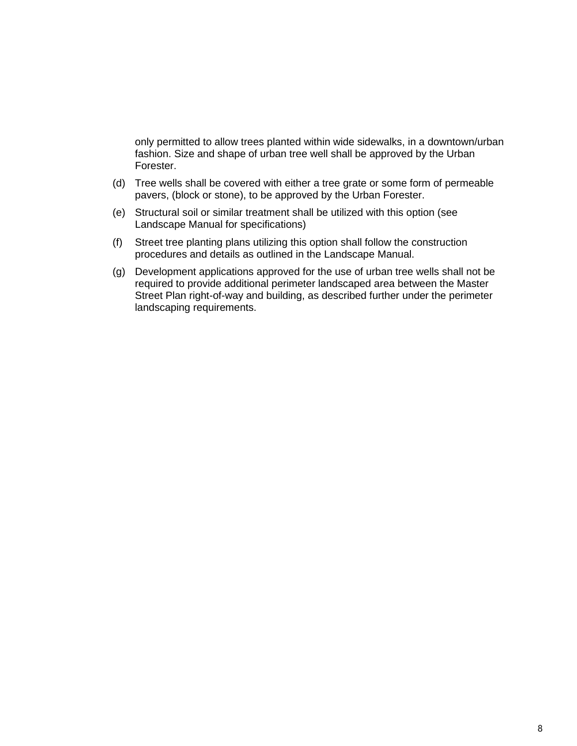only permitted to allow trees planted within wide sidewalks, in a downtown/urban fashion. Size and shape of urban tree well shall be approved by the Urban Forester.

- (d) Tree wells shall be covered with either a tree grate or some form of permeable pavers, (block or stone), to be approved by the Urban Forester.
- (e) Structural soil or similar treatment shall be utilized with this option (see Landscape Manual for specifications)
- (f) Street tree planting plans utilizing this option shall follow the construction procedures and details as outlined in the Landscape Manual.
- (g) Development applications approved for the use of urban tree wells shall not be required to provide additional perimeter landscaped area between the Master Street Plan right-of-way and building, as described further under the perimeter landscaping requirements.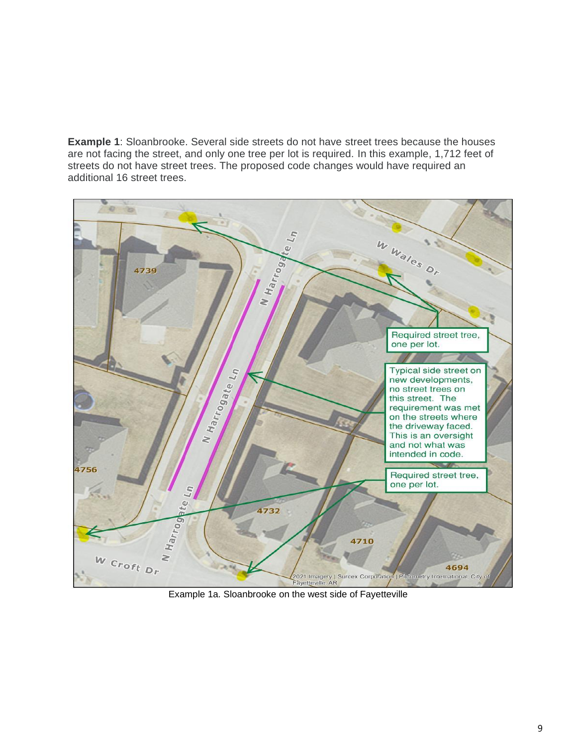**Example 1**: Sloanbrooke. Several side streets do not have street trees because the houses are not facing the street, and only one tree per lot is required. In this example, 1,712 feet of streets do not have street trees. The proposed code changes would have required an additional 16 street trees.



Example 1a. Sloanbrooke on the west side of Fayetteville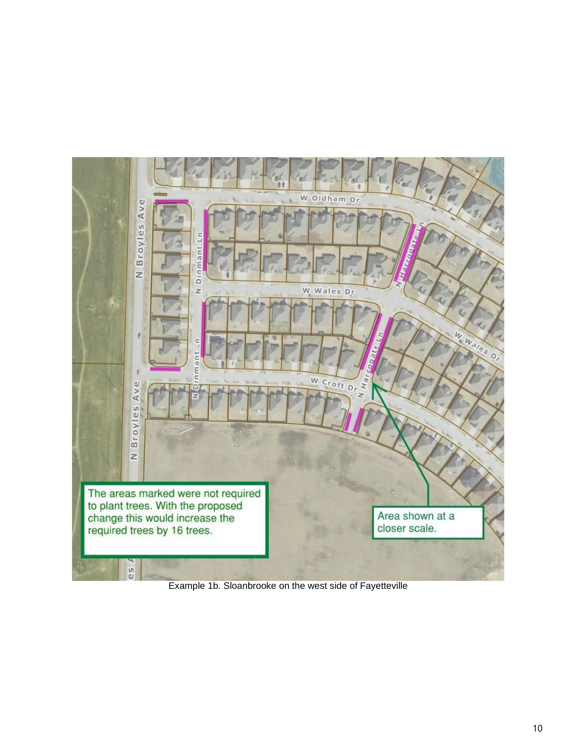

Example 1b. Sloanbrooke on the west side of Fayetteville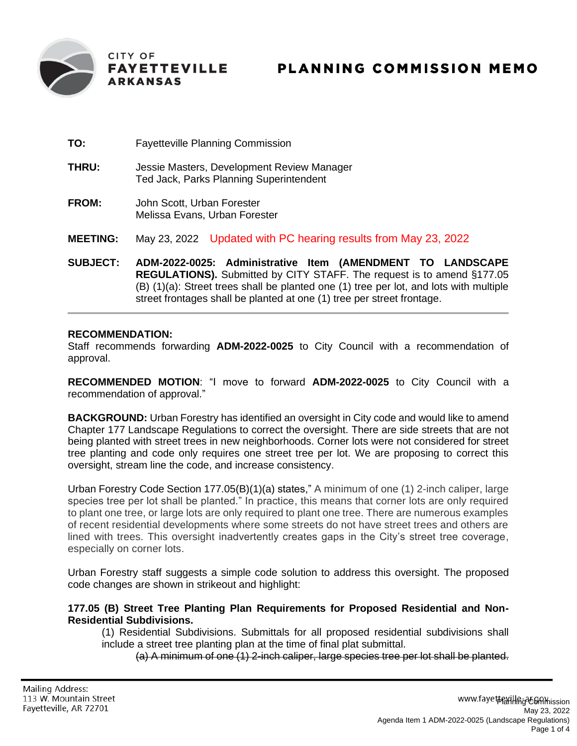

- **TO:** Fayetteville Planning Commission
- **THRU:** Jessie Masters, Development Review Manager Ted Jack, Parks Planning Superintendent
- **FROM:** John Scott, Urban Forester Melissa Evans, Urban Forester
- **MEETING:** May 23, 2022 Updated with PC hearing results from May 23, 2022
- **SUBJECT: ADM-2022-0025: Administrative Item (AMENDMENT TO LANDSCAPE REGULATIONS).** Submitted by CITY STAFF. The request is to amend §177.05 (B) (1)(a): Street trees shall be planted one (1) tree per lot, and lots with multiple street frontages shall be planted at one (1) tree per street frontage.

### **RECOMMENDATION:**

Staff recommends forwarding **ADM-2022-0025** to City Council with a recommendation of approval.

**RECOMMENDED MOTION**: "I move to forward **ADM-2022-0025** to City Council with a recommendation of approval."

**BACKGROUND:** Urban Forestry has identified an oversight in City code and would like to amend Chapter 177 Landscape Regulations to correct the oversight. There are side streets that are not being planted with street trees in new neighborhoods. Corner lots were not considered for street tree planting and code only requires one street tree per lot. We are proposing to correct this oversight, stream line the code, and increase consistency.

Urban Forestry Code Section 177.05(B)(1)(a) states," A minimum of one (1) 2-inch caliper, large species tree per lot shall be planted." In practice, this means that corner lots are only required to plant one tree, or large lots are only required to plant one tree. There are numerous examples of recent residential developments where some streets do not have street trees and others are lined with trees. This oversight inadvertently creates gaps in the City's street tree coverage, especially on corner lots.

Urban Forestry staff suggests a simple code solution to address this oversight. The proposed code changes are shown in strikeout and highlight:

**177.05 (B) Street Tree Planting Plan Requirements for Proposed Residential and Non-Residential Subdivisions.**

(1) Residential Subdivisions. Submittals for all proposed residential subdivisions shall include a street tree planting plan at the time of final plat submittal.

(a) A minimum of one (1) 2-inch caliper, large species tree per lot shall be planted.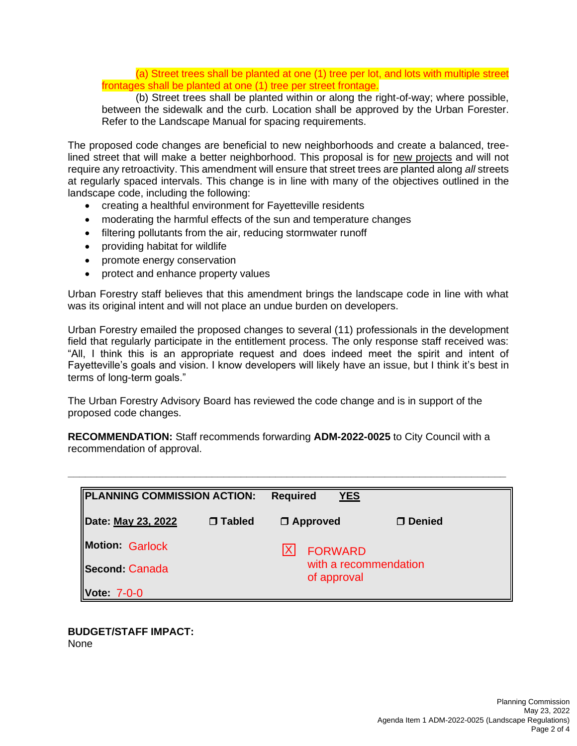(a) Street trees shall be planted at one (1) tree per lot, and lots with multiple street frontages shall be planted at one (1) tree per street frontage.

(b) Street trees shall be planted within or along the right-of-way; where possible, between the sidewalk and the curb. Location shall be approved by the Urban Forester. Refer to the Landscape Manual for spacing requirements.

The proposed code changes are beneficial to new neighborhoods and create a balanced, treelined street that will make a better neighborhood. This proposal is for new projects and will not require any retroactivity. This amendment will ensure that street trees are planted along *all* streets at regularly spaced intervals. This change is in line with many of the objectives outlined in the landscape code, including the following:

- creating a healthful environment for Fayetteville residents
- moderating the harmful effects of the sun and temperature changes
- filtering pollutants from the air, reducing stormwater runoff
- providing habitat for wildlife
- promote energy conservation
- protect and enhance property values

Urban Forestry staff believes that this amendment brings the landscape code in line with what was its original intent and will not place an undue burden on developers.

Urban Forestry emailed the proposed changes to several (11) professionals in the development field that regularly participate in the entitlement process. The only response staff received was: "All, I think this is an appropriate request and does indeed meet the spirit and intent of Fayetteville's goals and vision. I know developers will likely have an issue, but I think it's best in terms of long-term goals."

The Urban Forestry Advisory Board has reviewed the code change and is in support of the proposed code changes.

**RECOMMENDATION:** Staff recommends forwarding **ADM-2022-0025** to City Council with a recommendation of approval.

**\_\_\_\_\_\_\_\_\_\_\_\_\_\_\_\_\_\_\_\_\_\_\_\_\_\_\_\_\_\_\_\_\_\_\_\_\_\_\_\_\_\_\_\_\_\_\_\_\_\_\_\_\_\_\_\_\_\_\_\_\_\_\_\_\_\_\_\_\_\_\_\_\_\_\_\_**

| PLANNING COMMISSION ACTION: |               | <b>YES</b><br><b>Required</b>        |               |  |
|-----------------------------|---------------|--------------------------------------|---------------|--|
| Date: May 23, 2022          | $\Box$ Tabled | $\Box$ Approved                      | $\Box$ Denied |  |
| <b>Motion Garlock</b>       |               | <b>FORWARD</b>                       |               |  |
| Second: Canada              |               | with a recommendation<br>of approval |               |  |
| Vote: 7-0-0                 |               |                                      |               |  |

#### **BUDGET/STAFF IMPACT:** None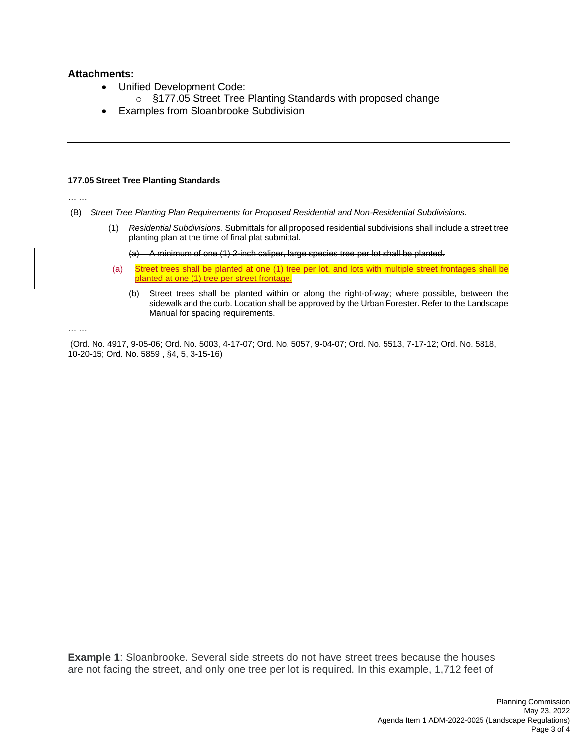### **Attachments:**

- Unified Development Code:
	- o §177.05 Street Tree Planting Standards with proposed change
- Examples from Sloanbrooke Subdivision

#### **177.05 Street Tree Planting Standards**

… …

- (B) *Street Tree Planting Plan Requirements for Proposed Residential and Non-Residential Subdivisions.*
	- (1) *Residential Subdivisions.* Submittals for all proposed residential subdivisions shall include a street tree planting plan at the time of final plat submittal.

(a) A minimum of one (1) 2-inch caliper, large species tree per lot shall be planted.

- (a) Street trees shall be planted at one (1) tree per lot, and lots with multiple street frontages shall be planted at one (1) tree per street frontage.
	- (b) Street trees shall be planted within or along the right-of-way; where possible, between the sidewalk and the curb. Location shall be approved by the Urban Forester. Refer to the Landscape Manual for spacing requirements.

… …

(Ord. No. 4917, 9-05-06; Ord. No. 5003, 4-17-07; Ord. No. 5057, 9-04-07; Ord. No. 5513, 7-17-12; Ord. No. 5818, 10-20-15; Ord. No. 5859 , §4, 5, 3-15-16)

**Example 1**: Sloanbrooke. Several side streets do not have street trees because the houses are not facing the street, and only one tree per lot is required. In this example, 1,712 feet of